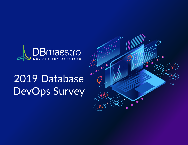

# 2019 Database DevOps Survey

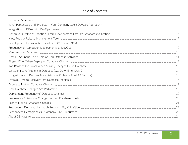# Table of Contents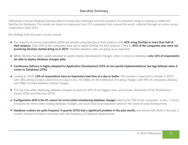DBmaestro's annual Database DevOps Report reviews the challenges and best practices of companies using or looking to implement DevOps for databases. The results are based on responses from 253 companies from around the world, collected through an online survey conducted in April 2019.

Key findings from this year's survey include:

- The majority of survey respondents (85%) are already using DevOps in their projects, with **42% using DevOps in more than half of their projects.** Only 10% of the companies have yet to adopt DevOps for their projects. Close to **40% of the companies who were not practicing DevOps started doing so in 2019.** DevOps adoption rates are going up as expected.
- While DevOps has been widely adopted to quickly deploy development changes, when it comes to databases **only 12% of respondents are able to deploy database changes daily.**
- **Continuous Delivery is highly adopted for Application Development (55% of non-partial implementations), but lags behinds when it**   $\bullet$ **comes to Databases (25%).**
- Looking at 2018, **14% of respondents have an impressive lead time of a day or better.** This number is expected to double in 2019, with 28% aiming to have a lead time of a day or less. Yet DBAs are the bottleneck of making changes with 49% of companies allowing only DBAs to make database related changes.
- The top risks when deploying database changes account for 69% of the biggest risks, and include: Downtime (25%), Performance impact (23%) and Data loss (21%).
- **Configuration drift is the #1 reason for errors when introducing database changes** rated so by 70% of the companies. In fact, 7 out of 8 reasons for errors when making database changes, are issues that have long been solved in the world of code development.
- **Database crashes are quite frequent. A quarter (25%) had a significant problem in the past month,** and almost half (46%) in the past 3  $\bullet$ months. Amount of failures increases with the frequency of database deployments.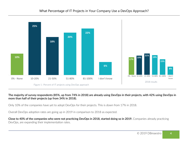

#### **The majority of survey respondents (85%, up from 74% in 2018) are already using DevOps in their projects, with 42% using DevOps in more than half of their projects (up from 34% in 2018).**

Only 10% of the companies have yet to adopt DevOps for their projects. This is down from 17% in 2018.

Overall DevOps adoption rates are going up in 2019 in comparison to 2018 as expected.

**Close to 40% of the companies who were not practicing DevOps in 2018, started doing so in 2019.** Companies already practicing DevOps, are expanding their implementation rates.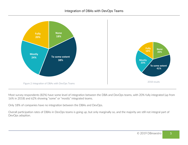

Most survey respondents (82%) have some level of integration between the DBA and DevOps teams, with 20% fully integrated (up from 16% in 2018) and 62% showing "some" or "mostly" integrated teams.

Only 18% of companies have no integration between the DBAs and DevOps.

Overall participation rates of DBAs in DevOps teams is going up, but only marginally so, and the majority are still not integral part of DevOps adoption.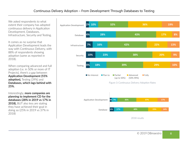We asked respondents to what extent their company has adopted continuous delivery in Application Development, Databases, Infrastructure, Security and Testing.

It comes as no surprise that Application Development leads the way with Continuous Delivery, with 88% of respondents showing adoption (same as reported in 2018).

When comparing advanced and full adoption (i.e. in 50% or more of IT Projects), there's a gap between **Application Development (55% adoption),** Testing (39%) and **Databases, which lags behind with 25%.** 

Interestingly, **more companies are planning to implement CD for the databases (28% in 2019 vs 17% in 2018),** BUT also less are stating they have achieved their goal in doing so (25% in 2019 vs 37% in 2018)

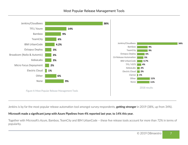

Jenkins is by far the most popular release automation tool amongst survey respondents, **getting stronger** in 2019 (38%, up from 34%).

#### **Microsoft made a significant jump with Azure Pipelines from 4% reported last year, to 14% this year.**

Together with Microsoft's Azure, Bamboo, TeamCity and IBM UrbanCode – these five release tools account for more than 72% in terms of popularity.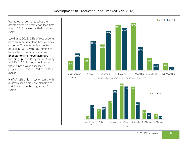**3%**

Less than an hour

**9%**

**11%**

We asked respondents what their development-to-production lead time was in 2018, as well as their goal for 2019.

Looking at 2018, 14% of respondents have an impressive lead time of a day or better. This number is expected to double in 2019, with 28% aiming to have a lead time of a day or less.

**Expectations to move faster are trending up** from last year (23% rising to 28% in 2019), but actual getting there is not always easy (actual progress from 12% in 2017 to 14% in 2018).

**Half** of 42% of long-cycle teams with quarterly lead times, are planning to shrink lead time (hoping for 21% in 2019).



**5%**

**5%**

**3%**

**8%**

A day A week 2-4 Weeks 1-3 Months 4-6 Months 6+ Months

2018 results

8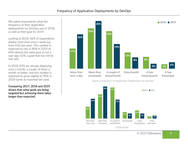We asked respondents what the frequency of their application deployments by DevOps was in 2018, as well as their goal for 2019.

Looking at 2018, 46% of respondents deploy more than once a week (up from 43% last year). This number is expected to rise in 40% in 2019 to 64% (almost the same goal as set a year ago, 62%, a goal that has not be met yet).

In 2018, 87% are already deploying once a month, a couple of times a month or better, and this number is expected to grow slightly to 90% in 2018 (same as reported last year).

**Comparing 2017, 2018 and 2019 shows that same goals are being targeted but achieving them takes longer than expected.** 



Figure 6: Frequency of Application Deployments by DevOps



2018 results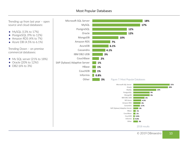## Most Popular Databases



- MySQL (13% to 17%)
- PostgreSQL (9% to 12%)
- Amazon RDS (4% to 7%)
- Azure DB  $(4.5\% \text{ to } 6.1\%)$

Trending Down – on premise commercial databases:

- Ms SQL server (21% to 18%)
- Oracle (20% to 12%!)
- DB2 (6% to 3%)



**4% 3.7% 3% 1% 1% 0.9% 0.6% 3%**

Amazon RDS Cassandra

> HBase **CouchBase** CouchDB Informix Other

SAP (Sybase) Adaptive Server...

© 2019 DBmaestro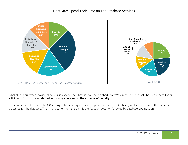

What stands out when looking at how DBAs spend their time is that the pie chart that **was** almost "equally" split between these top six activities in 2018, is being **shifted into change delivery, at the expense of security.** 

This makes a lot of sense with DBAs being pulled into higher cadence processes, as CI/CD is being implemented faster than automated processes for the database. The first to suffer from this shift is the focus on security, followed by database optimization.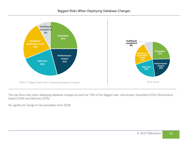

The top three risks when deploying database changes account for 70% of the biggest risks, and include: Downtime (25%), Performance impact (23%) and Data loss (22%).

No significant change in risk perception from 2018.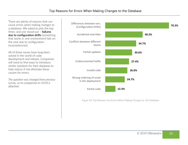There are plenty of reasons that can cause errors when making changes to a database. We asked to pick the top three, and one stood out – **failures due to configuration drifts** (something that works in one environment fails on the next due to configuration inconsistencies).

All of these issues have long been solved in the world of code development and release. Companies will need to find ways to introduce similar solutions for their database to help reduce if not eliminate these causes for errors.

*The question was changed from previous survey, so no comparison to 2018 is attached.* 



Figure 10: Top Reasons For Errors When Making Changes to the Database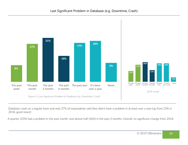

Database crash on a regular basis and only 27% of respondents said they didn't have a problem in at least over a year (up from 23% in 2018, good news!)

A quarter (25%) had a problem in the past month, and almost half (46%) in the past 3 months. Overall, no significant change from 2018 .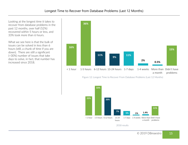Looking at the longest time it takes to recover from database problems in the past 12 months, over half (52%) recovered within 5 hours or less, and 33% took more than 6 hours.

What we see here is that the bulk of issues can be solved in less than 6 hours (still, a chunk of time if you are down). There are still a significant (>30%) number of issues that take days to solve, in fact, that number has increased since 2018.



Figure 12: Longest Time to Recover From Database Problems (Last 12 Months)

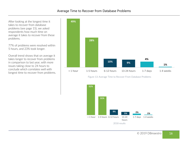After looking at the longest time it takes to recover from database problems (see page 15), we asked respondents how much time on average it takes to recover from these problems.

77% of problems were resolved within 5 hours, and 23% took longer.

Overall trend shows that on average it takes longer to recover from problems in comparison to last year, with more issues taking close to 24 hours to conclude which correlates well with longest time to recover from problems.





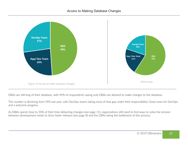

DBAs are still king of their database, with 49% of respondents saying only DBAs are allowed to make changes to the database.

This number is declining from 59% last year, with DevOps teams taking most of that gap under their responsibility! Great news for DevOps and a welcome progress.

As DBAs spend close to 30% of their time delivering changes (see page 11), organizations still need to find ways to solve the tension between development needs to drive faster releases (see page 8) and the DBAs being the bottleneck of this process.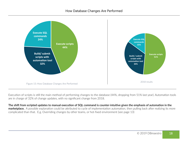

Execution of scripts is still the main method of performing changes to the database (44%, dropping from 51% last year). Automation tools are in charge of 32% of change updates, with no significant change from 2018.

**The shift from scripted updates to manual execution of SQL command is counter-intuitive given the emphasis of automation in the marketplace.** A possible explanation could be attributed to cycle of implementation automation, then pulling back after realizing its more complicated than that. E.g. Overriding changes by other teams, or hot-fixed environment (see page 13)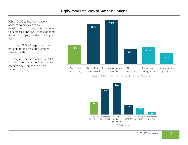While DevOps has been widely adopted to quickly deploy development changes, when it comes to databases only 12% of respondents are able to deploy database changes daily.

A quarter (28%) of respondents are not able to deploy more frequently than a month.

The majority (59% compared to 64% last year) are able to deploy database changes a few times a month or better.



Figure 16: Deployment Frequency of Database Changes

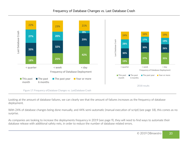### Frequency of Database Changes vs. Last Database Crash



Looking at the amount of database failures, we can clearly see that the amount of failures increases as the frequency of database deployment.

With 24% of database changes being done manually, and 44% semi-automatic (manual execution of script) (see page 18), this comes as no surprise.

As companies are looking to increase the deployments frequency in 2019 (see page 9), they will need to find ways to automate their database release with additional safety nets, in order to reduce the number of database related errors.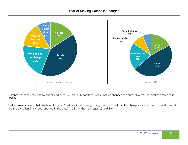

Database changes can lead to errors, and only 16% feel fully confident while making changes and show "No fear." (almost the same as in 2018).

**Unfortunately**, almost half (44%, up from 36% last year) fear making changes with at least half the changes they deploy. This is attributed to the more challenging issues reported in the passing 12 months (see pages 15 and 16)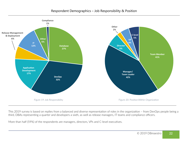

This 2019 survey is based on replies from a balanced and diverse representation of roles in the organization – from DevOps people being a third, DBAs representing a quarter and developers a sixth, as well as release managers, IT teams and compliance officers.

More than half (59%) of the respondents are managers, directors, VPs and C-level executives.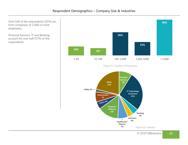Over half of the respondents (55%) are from companies of 1,000 or more employees.

Financial Services, IT and Banking account for over half (57%) of the respondents.